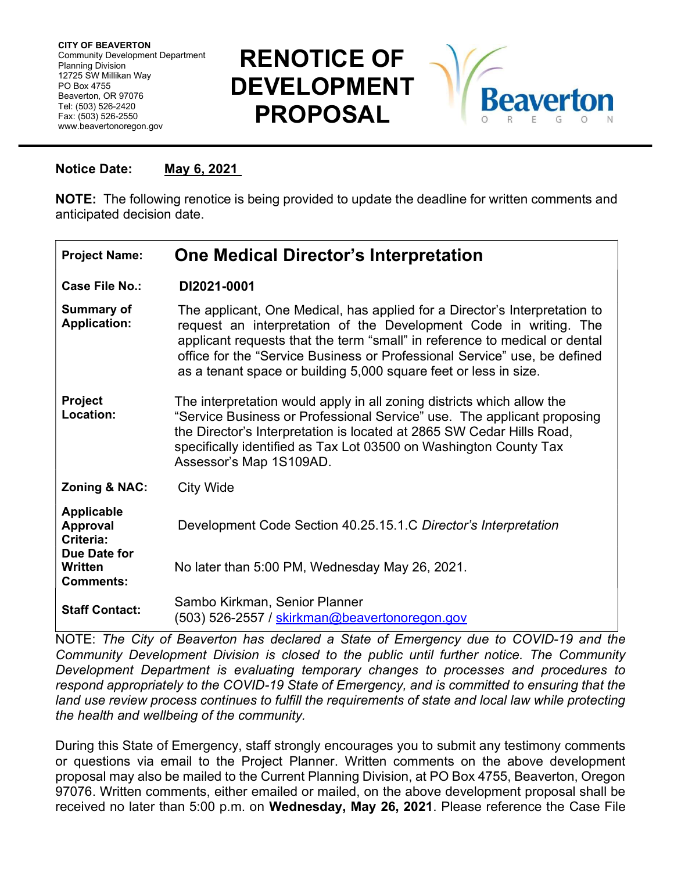Community Development Department CITY OF BEAVERTON Planning Division 12725 SW Millikan Way PO Box 4755 Beaverton, OR 97076 Tel: (503) 526-2420 Fax: (503) 526-2550 www.beavertonoregon.gov

## RENOTICE OF DEVELOPMENT PROPOSAL



## Notice Date: May 6, 2021

NOTE: The following renotice is being provided to update the deadline for written comments and anticipated decision date.

| <b>Project Name:</b>                                              | <b>One Medical Director's Interpretation</b>                                                                                                                                                                                                                                                                                                                                   |
|-------------------------------------------------------------------|--------------------------------------------------------------------------------------------------------------------------------------------------------------------------------------------------------------------------------------------------------------------------------------------------------------------------------------------------------------------------------|
| Case File No.:                                                    | DI2021-0001                                                                                                                                                                                                                                                                                                                                                                    |
| <b>Summary of</b><br><b>Application:</b>                          | The applicant, One Medical, has applied for a Director's Interpretation to<br>request an interpretation of the Development Code in writing. The<br>applicant requests that the term "small" in reference to medical or dental<br>office for the "Service Business or Professional Service" use, be defined<br>as a tenant space or building 5,000 square feet or less in size. |
| <b>Project</b><br>Location:                                       | The interpretation would apply in all zoning districts which allow the<br>"Service Business or Professional Service" use. The applicant proposing<br>the Director's Interpretation is located at 2865 SW Cedar Hills Road,<br>specifically identified as Tax Lot 03500 on Washington County Tax<br>Assessor's Map 1S109AD.                                                     |
| <b>Zoning &amp; NAC:</b>                                          | <b>City Wide</b>                                                                                                                                                                                                                                                                                                                                                               |
| <b>Applicable</b><br><b>Approval</b><br>Criteria:<br>Due Date for | Development Code Section 40.25.15.1.C Director's Interpretation                                                                                                                                                                                                                                                                                                                |
| Written<br><b>Comments:</b>                                       | No later than 5:00 PM, Wednesday May 26, 2021.                                                                                                                                                                                                                                                                                                                                 |
| <b>Staff Contact:</b>                                             | Sambo Kirkman, Senior Planner<br>(503) 526-2557 / <u>skirkman@beavertonoregon.gov</u>                                                                                                                                                                                                                                                                                          |

NOTE: The City of Beaverton has declared a State of Emergency due to COVID-19 and the Community Development Division is closed to the public until further notice. The Community Development Department is evaluating temporary changes to processes and procedures to respond appropriately to the COVID-19 State of Emergency, and is committed to ensuring that the land use review process continues to fulfill the requirements of state and local law while protecting the health and wellbeing of the community.

During this State of Emergency, staff strongly encourages you to submit any testimony comments or questions via email to the Project Planner. Written comments on the above development proposal may also be mailed to the Current Planning Division, at PO Box 4755, Beaverton, Oregon 97076. Written comments, either emailed or mailed, on the above development proposal shall be received no later than 5:00 p.m. on Wednesday, May 26, 2021. Please reference the Case File